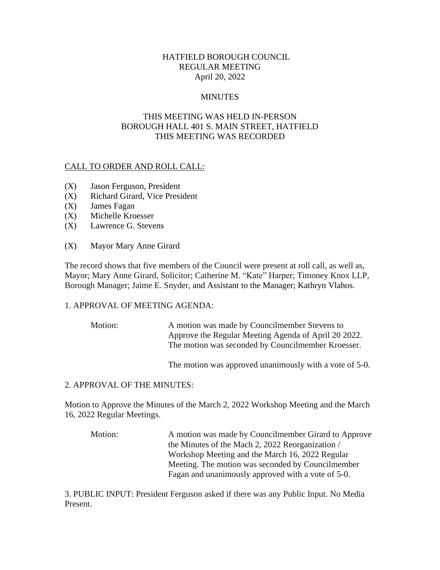## HATFIELD BOROUGH COUNCIL REGULAR MEETING April 20, 2022

### **MINUTES**

## THIS MEETING WAS HELD IN-PERSON BOROUGH HALL 401 S. MAIN STREET, HATFIELD THIS MEETING WAS RECORDED

## CALL TO ORDER AND ROLL CALL:

- (X) Jason Ferguson, President
- (X) Richard Girard, Vice President
- (X) James Fagan
- (X) Michelle Kroesser
- (X) Lawrence G. Stevens
- (X) Mayor Mary Anne Girard

The record shows that five members of the Council were present at roll call, as well as, Mayor; Mary Anne Girard, Solicitor; Catherine M. "Kate" Harper; Timoney Knox LLP, Borough Manager; Jaime E. Snyder, and Assistant to the Manager; Kathryn Vlahos.

#### 1. APPROVAL OF MEETING AGENDA:

Motion: A motion was made by Councilmember Stevens to Approve the Regular Meeting Agenda of April 20 2022. The motion was seconded by Councilmember Kroesser.

The motion was approved unanimously with a vote of 5-0.

#### 2. APPROVAL OF THE MINUTES:

Motion to Approve the Minutes of the March 2, 2022 Workshop Meeting and the March 16, 2022 Regular Meetings.

Motion: A motion was made by Councilmember Girard to Approve the Minutes of the Mach 2, 2022 Reorganization / Workshop Meeting and the March 16, 2022 Regular Meeting. The motion was seconded by Councilmember Fagan and unanimously approved with a vote of 5-0.

3. PUBLIC INPUT: President Ferguson asked if there was any Public Input. No Media Present.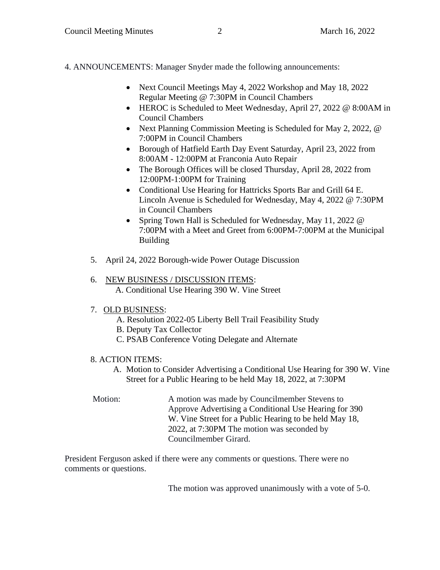4. ANNOUNCEMENTS: Manager Snyder made the following announcements:

- Next Council Meetings May 4, 2022 Workshop and May 18, 2022 Regular Meeting @ 7:30PM in Council Chambers
- HEROC is Scheduled to Meet Wednesday, April 27, 2022 @ 8:00AM in Council Chambers
- Next Planning Commission Meeting is Scheduled for May 2, 2022, @ 7:00PM in Council Chambers
- Borough of Hatfield Earth Day Event Saturday, April 23, 2022 from 8:00AM - 12:00PM at Franconia Auto Repair
- The Borough Offices will be closed Thursday, April 28, 2022 from 12:00PM-1:00PM for Training
- Conditional Use Hearing for Hattricks Sports Bar and Grill 64 E. Lincoln Avenue is Scheduled for Wednesday, May 4, 2022 @ 7:30PM in Council Chambers
- Spring Town Hall is Scheduled for Wednesday, May 11, 2022 @ 7:00PM with a Meet and Greet from 6:00PM-7:00PM at the Municipal Building
- 5. April 24, 2022 Borough-wide Power Outage Discussion

# 6. NEW BUSINESS / DISCUSSION ITEMS:

A. Conditional Use Hearing 390 W. Vine Street

# 7. OLD BUSINESS:

- A. Resolution 2022-05 Liberty Bell Trail Feasibility Study
- B. Deputy Tax Collector
- C. PSAB Conference Voting Delegate and Alternate

# 8. ACTION ITEMS:

A. Motion to Consider Advertising a Conditional Use Hearing for 390 W. Vine Street for a Public Hearing to be held May 18, 2022, at 7:30PM

Motion: A motion was made by Councilmember Stevens to Approve Advertising a Conditional Use Hearing for 390 W. Vine Street for a Public Hearing to be held May 18, 2022, at 7:30PM The motion was seconded by Councilmember Girard.

President Ferguson asked if there were any comments or questions. There were no comments or questions.

The motion was approved unanimously with a vote of 5-0.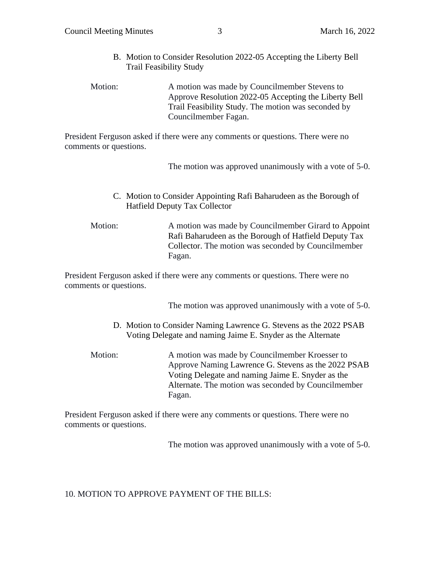- B. Motion to Consider Resolution 2022-05 Accepting the Liberty Bell Trail Feasibility Study
- Motion: A motion was made by Councilmember Stevens to Approve Resolution 2022-05 Accepting the Liberty Bell Trail Feasibility Study. The motion was seconded by Councilmember Fagan.

President Ferguson asked if there were any comments or questions. There were no comments or questions.

The motion was approved unanimously with a vote of 5-0.

C. Motion to Consider Appointing Rafi Baharudeen as the Borough of Hatfield Deputy Tax Collector

Motion: A motion was made by Councilmember Girard to Appoint Rafi Baharudeen as the Borough of Hatfield Deputy Tax Collector. The motion was seconded by Councilmember Fagan.

President Ferguson asked if there were any comments or questions. There were no comments or questions.

The motion was approved unanimously with a vote of 5-0.

- D. Motion to Consider Naming Lawrence G. Stevens as the 2022 PSAB Voting Delegate and naming Jaime E. Snyder as the Alternate
- Motion: A motion was made by Councilmember Kroesser to Approve Naming Lawrence G. Stevens as the 2022 PSAB Voting Delegate and naming Jaime E. Snyder as the Alternate. The motion was seconded by Councilmember Fagan.

President Ferguson asked if there were any comments or questions. There were no comments or questions.

The motion was approved unanimously with a vote of 5-0.

10. MOTION TO APPROVE PAYMENT OF THE BILLS: